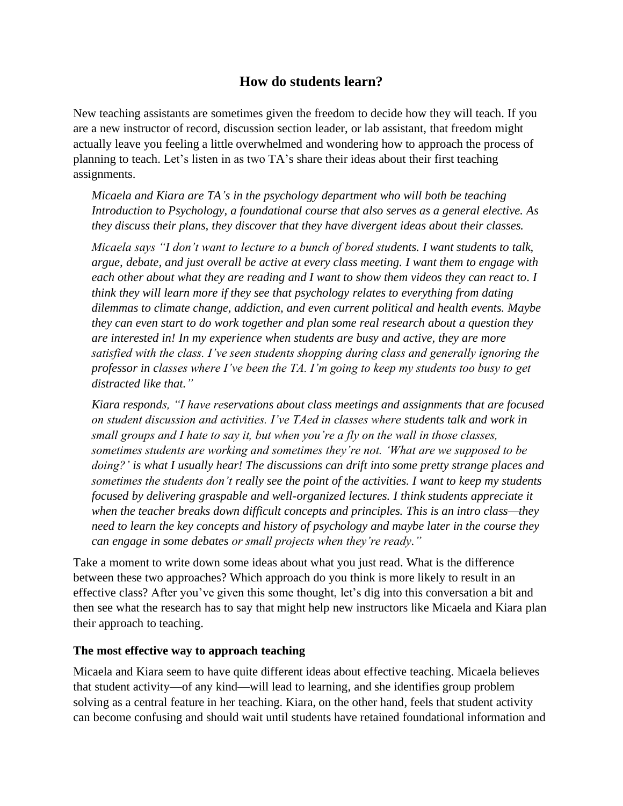# **How do students learn?**

New teaching assistants are sometimes given the freedom to decide how they will teach. If you are a new instructor of record, discussion section leader, or lab assistant, that freedom might actually leave you feeling a little overwhelmed and wondering how to approach the process of planning to teach. Let's listen in as two TA's share their ideas about their first teaching assignments.

*Micaela and Kiara are TA's in the psychology department who will both be teaching Introduction to Psychology, a foundational course that also serves as a general elective. As they discuss their plans, they discover that they have divergent ideas about their classes.*

*Micaela says "I don't want to lecture to a bunch of bored students. I want students to talk, argue, debate, and just overall be active at every class meeting. I want them to engage with each other about what they are reading and I want to show them videos they can react to. I think they will learn more if they see that psychology relates to everything from dating dilemmas to climate change, addiction, and even current political and health events. Maybe they can even start to do work together and plan some real research about a question they are interested in! In my experience when students are busy and active, they are more satisfied with the class. I've seen students shopping during class and generally ignoring the professor in classes where I've been the TA. I'm going to keep my students too busy to get distracted like that."* 

*Kiara responds, "I have reservations about class meetings and assignments that are focused on student discussion and activities. I've TAed in classes where students talk and work in small groups and I hate to say it, but when you're a fly on the wall in those classes, sometimes students are working and sometimes they're not. 'What are we supposed to be doing?' is what I usually hear! The discussions can drift into some pretty strange places and sometimes the students don't really see the point of the activities. I want to keep my students focused by delivering graspable and well-organized lectures. I think students appreciate it when the teacher breaks down difficult concepts and principles. This is an intro class—they need to learn the key concepts and history of psychology and maybe later in the course they can engage in some debates or small projects when they're ready."*

Take a moment to write down some ideas about what you just read. What is the difference between these two approaches? Which approach do you think is more likely to result in an effective class? After you've given this some thought, let's dig into this conversation a bit and then see what the research has to say that might help new instructors like Micaela and Kiara plan their approach to teaching.

#### **The most effective way to approach teaching**

Micaela and Kiara seem to have quite different ideas about effective teaching. Micaela believes that student activity—of any kind—will lead to learning, and she identifies group problem solving as a central feature in her teaching. Kiara, on the other hand, feels that student activity can become confusing and should wait until students have retained foundational information and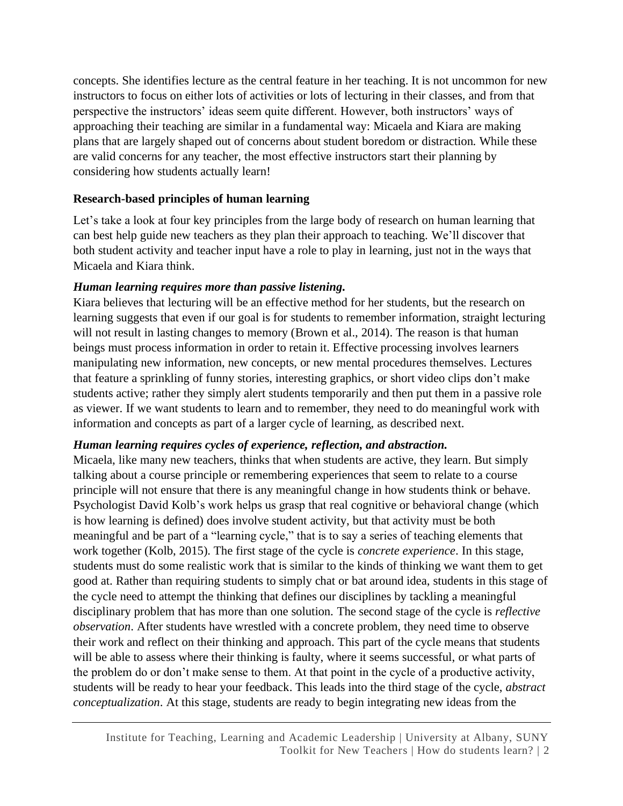concepts. She identifies lecture as the central feature in her teaching. It is not uncommon for new instructors to focus on either lots of activities or lots of lecturing in their classes, and from that perspective the instructors' ideas seem quite different. However, both instructors' ways of approaching their teaching are similar in a fundamental way: Micaela and Kiara are making plans that are largely shaped out of concerns about student boredom or distraction. While these are valid concerns for any teacher, the most effective instructors start their planning by considering how students actually learn!

### **Research-based principles of human learning**

Let's take a look at four key principles from the large body of research on human learning that can best help guide new teachers as they plan their approach to teaching. We'll discover that both student activity and teacher input have a role to play in learning, just not in the ways that Micaela and Kiara think.

### *Human learning requires more than passive listening.*

Kiara believes that lecturing will be an effective method for her students, but the research on learning suggests that even if our goal is for students to remember information, straight lecturing will not result in lasting changes to memory (Brown et al., 2014). The reason is that human beings must process information in order to retain it. Effective processing involves learners manipulating new information, new concepts, or new mental procedures themselves. Lectures that feature a sprinkling of funny stories, interesting graphics, or short video clips don't make students active; rather they simply alert students temporarily and then put them in a passive role as viewer. If we want students to learn and to remember, they need to do meaningful work with information and concepts as part of a larger cycle of learning, as described next.

## *Human learning requires cycles of experience, reflection, and abstraction.*

Micaela, like many new teachers, thinks that when students are active, they learn. But simply talking about a course principle or remembering experiences that seem to relate to a course principle will not ensure that there is any meaningful change in how students think or behave. Psychologist David Kolb's work helps us grasp that real cognitive or behavioral change (which is how learning is defined) does involve student activity, but that activity must be both meaningful and be part of a "learning cycle," that is to say a series of teaching elements that work together (Kolb, 2015). The first stage of the cycle is *concrete experience*. In this stage, students must do some realistic work that is similar to the kinds of thinking we want them to get good at. Rather than requiring students to simply chat or bat around idea, students in this stage of the cycle need to attempt the thinking that defines our disciplines by tackling a meaningful disciplinary problem that has more than one solution. The second stage of the cycle is *reflective observation*. After students have wrestled with a concrete problem, they need time to observe their work and reflect on their thinking and approach. This part of the cycle means that students will be able to assess where their thinking is faulty, where it seems successful, or what parts of the problem do or don't make sense to them. At that point in the cycle of a productive activity, students will be ready to hear your feedback. This leads into the third stage of the cycle, *abstract conceptualization*. At this stage, students are ready to begin integrating new ideas from the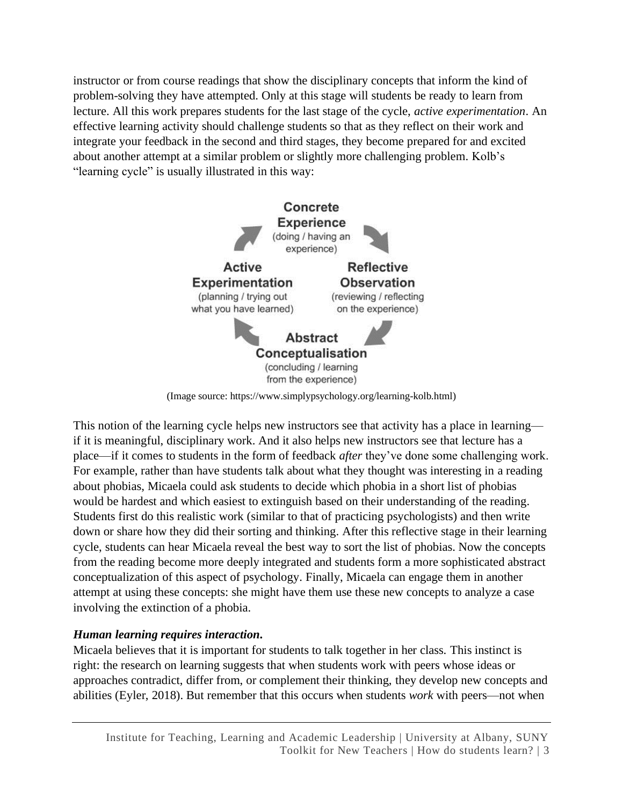instructor or from course readings that show the disciplinary concepts that inform the kind of problem-solving they have attempted. Only at this stage will students be ready to learn from lecture. All this work prepares students for the last stage of the cycle, *active experimentation*. An effective learning activity should challenge students so that as they reflect on their work and integrate your feedback in the second and third stages, they become prepared for and excited about another attempt at a similar problem or slightly more challenging problem. Kolb's "learning cycle" is usually illustrated in this way:



(Image source: https://www.simplypsychology.org/learning-kolb.html)

This notion of the learning cycle helps new instructors see that activity has a place in learning if it is meaningful, disciplinary work. And it also helps new instructors see that lecture has a place—if it comes to students in the form of feedback *after* they've done some challenging work. For example, rather than have students talk about what they thought was interesting in a reading about phobias, Micaela could ask students to decide which phobia in a short list of phobias would be hardest and which easiest to extinguish based on their understanding of the reading. Students first do this realistic work (similar to that of practicing psychologists) and then write down or share how they did their sorting and thinking. After this reflective stage in their learning cycle, students can hear Micaela reveal the best way to sort the list of phobias. Now the concepts from the reading become more deeply integrated and students form a more sophisticated abstract conceptualization of this aspect of psychology. Finally, Micaela can engage them in another attempt at using these concepts: she might have them use these new concepts to analyze a case involving the extinction of a phobia.

## *Human learning requires interaction.*

Micaela believes that it is important for students to talk together in her class. This instinct is right: the research on learning suggests that when students work with peers whose ideas or approaches contradict, differ from, or complement their thinking, they develop new concepts and abilities (Eyler, 2018). But remember that this occurs when students *work* with peers—not when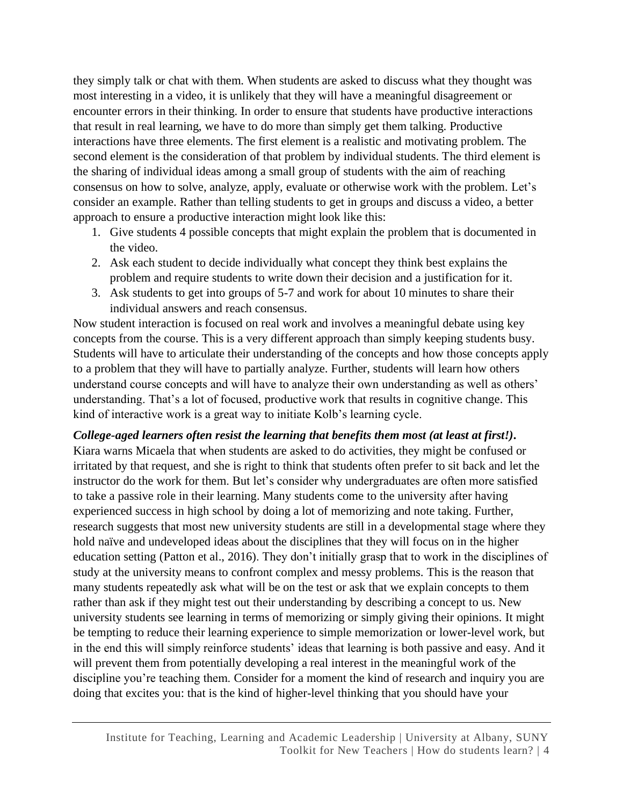they simply talk or chat with them. When students are asked to discuss what they thought was most interesting in a video, it is unlikely that they will have a meaningful disagreement or encounter errors in their thinking. In order to ensure that students have productive interactions that result in real learning, we have to do more than simply get them talking. Productive interactions have three elements. The first element is a realistic and motivating problem. The second element is the consideration of that problem by individual students. The third element is the sharing of individual ideas among a small group of students with the aim of reaching consensus on how to solve, analyze, apply, evaluate or otherwise work with the problem. Let's consider an example. Rather than telling students to get in groups and discuss a video, a better approach to ensure a productive interaction might look like this:

- 1. Give students 4 possible concepts that might explain the problem that is documented in the video.
- 2. Ask each student to decide individually what concept they think best explains the problem and require students to write down their decision and a justification for it.
- 3. Ask students to get into groups of 5-7 and work for about 10 minutes to share their individual answers and reach consensus.

Now student interaction is focused on real work and involves a meaningful debate using key concepts from the course. This is a very different approach than simply keeping students busy. Students will have to articulate their understanding of the concepts and how those concepts apply to a problem that they will have to partially analyze. Further, students will learn how others understand course concepts and will have to analyze their own understanding as well as others' understanding. That's a lot of focused, productive work that results in cognitive change. This kind of interactive work is a great way to initiate Kolb's learning cycle.

*College-aged learners often resist the learning that benefits them most (at least at first!).* Kiara warns Micaela that when students are asked to do activities, they might be confused or irritated by that request, and she is right to think that students often prefer to sit back and let the instructor do the work for them. But let's consider why undergraduates are often more satisfied to take a passive role in their learning. Many students come to the university after having experienced success in high school by doing a lot of memorizing and note taking. Further, research suggests that most new university students are still in a developmental stage where they hold naïve and undeveloped ideas about the disciplines that they will focus on in the higher education setting (Patton et al., 2016). They don't initially grasp that to work in the disciplines of study at the university means to confront complex and messy problems. This is the reason that many students repeatedly ask what will be on the test or ask that we explain concepts to them rather than ask if they might test out their understanding by describing a concept to us. New university students see learning in terms of memorizing or simply giving their opinions. It might be tempting to reduce their learning experience to simple memorization or lower-level work, but in the end this will simply reinforce students' ideas that learning is both passive and easy. And it will prevent them from potentially developing a real interest in the meaningful work of the discipline you're teaching them. Consider for a moment the kind of research and inquiry you are doing that excites you: that is the kind of higher-level thinking that you should have your